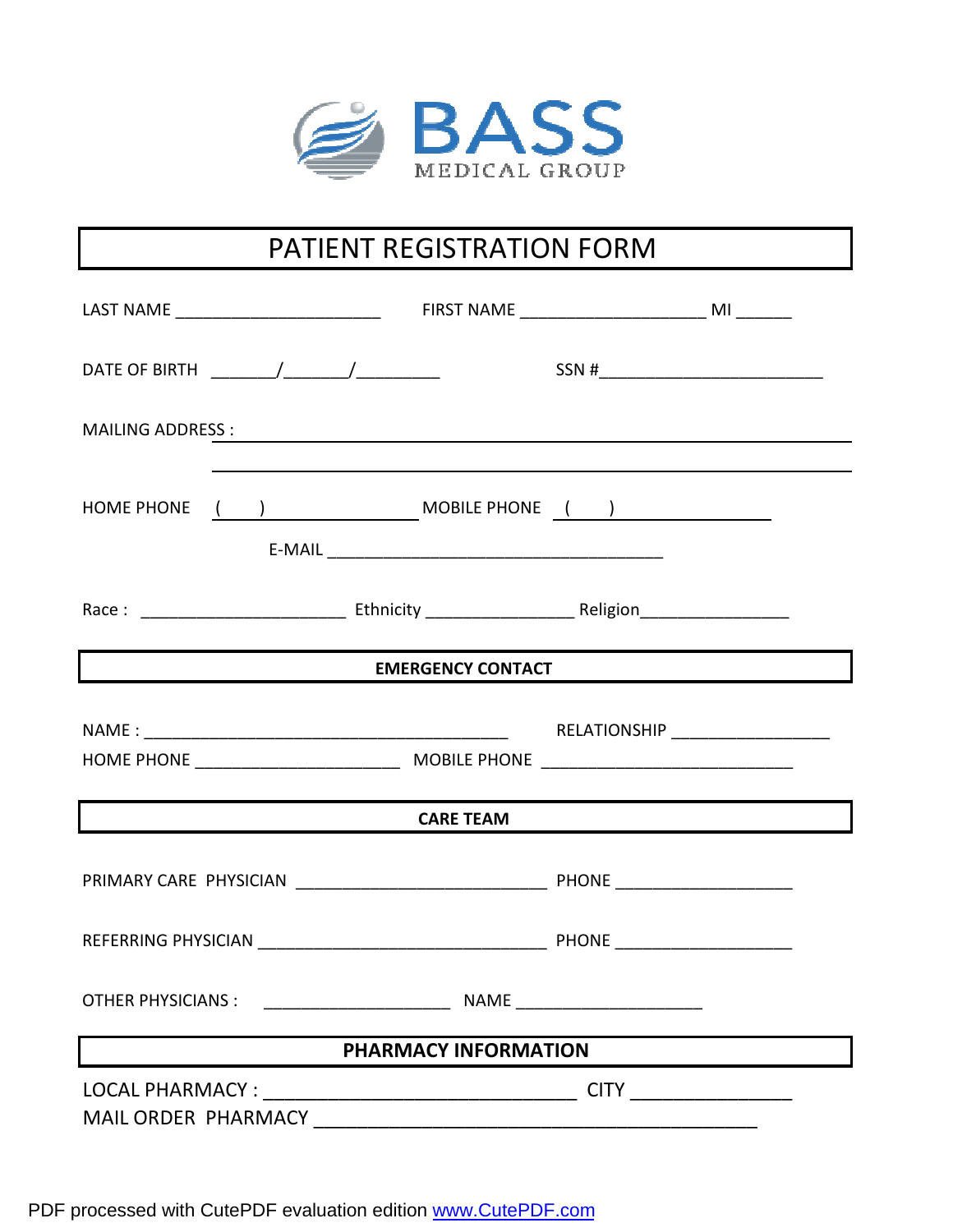

# PATIENT REGISTRATION FORM

| MAILING ADDRESS : New York State State State State State State State State State State State State State State State State State State State State State State State State State State State State State State State State Sta |                                                                        |                                                      |  |  |  |
|--------------------------------------------------------------------------------------------------------------------------------------------------------------------------------------------------------------------------------|------------------------------------------------------------------------|------------------------------------------------------|--|--|--|
| HOME PHONE ( ) MOBILE PHONE ( )                                                                                                                                                                                                |                                                                        |                                                      |  |  |  |
|                                                                                                                                                                                                                                |                                                                        |                                                      |  |  |  |
| EMERGENCY CONTACT                                                                                                                                                                                                              |                                                                        |                                                      |  |  |  |
|                                                                                                                                                                                                                                |                                                                        |                                                      |  |  |  |
| <b>CARE TEAM</b>                                                                                                                                                                                                               |                                                                        |                                                      |  |  |  |
|                                                                                                                                                                                                                                |                                                                        |                                                      |  |  |  |
|                                                                                                                                                                                                                                |                                                                        |                                                      |  |  |  |
| <b>OTHER PHYSICIANS:</b>                                                                                                                                                                                                       | NAME<br><u> 1980 - Johann Barn, mars eta bainar eta hiri eta horre</u> | <u> 1980 - Johann Stoff, Amerikaansk politiker (</u> |  |  |  |
| PHARMACY INFORMATION                                                                                                                                                                                                           |                                                                        |                                                      |  |  |  |
|                                                                                                                                                                                                                                |                                                                        |                                                      |  |  |  |

PDF processed with CutePDF evaluation edition [www.CutePDF.com](http://www.cutepdf.com)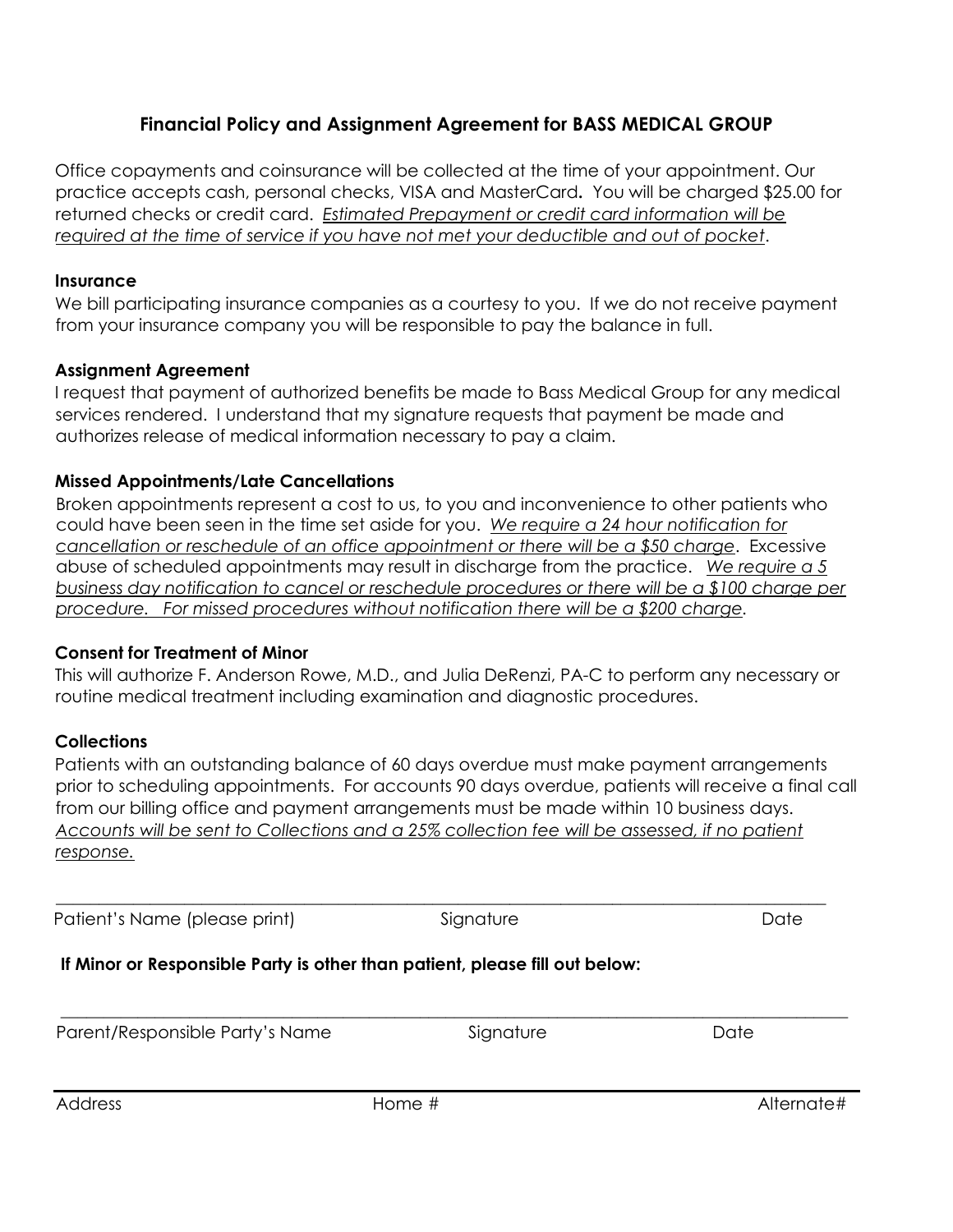# Financial Policy and Assignment Agreement for BASS MEDICAL GROUP

Office copayments and coinsurance will be collected at the time of your appointment. Our practice accepts cash, personal checks, VISA and MasterCard. You will be charged \$25.00 for returned checks or credit card. Estimated Prepayment or credit card information will be required at the time of service if you have not met your deductible and out of pocket.

#### **Insurance**

We bill participating insurance companies as a courtesy to you. If we do not receive payment from your insurance company you will be responsible to pay the balance in full.

# Assignment Agreement

I request that payment of authorized benefits be made to Bass Medical Group for any medical services rendered. I understand that my signature requests that payment be made and authorizes release of medical information necessary to pay a claim.

#### Missed Appointments/Late Cancellations

Broken appointments represent a cost to us, to you and inconvenience to other patients who could have been seen in the time set aside for you. We require a 24 hour notification for cancellation or reschedule of an office appointment or there will be a \$50 charge. Excessive abuse of scheduled appointments may result in discharge from the practice. We require  $a 5$ business day notification to cancel or reschedule procedures or there will be a \$100 charge per procedure. For missed procedures without notification there will be a \$200 charge.

#### Consent for Treatment of Minor

This will authorize F. Anderson Rowe, M.D., and Julia DeRenzi, PA-C to perform any necessary or routine medical treatment including examination and diagnostic procedures.

# **Collections**

Patients with an outstanding balance of 60 days overdue must make payment arrangements prior to scheduling appointments. For accounts 90 days overdue, patients will receive a final call from our billing office and payment arrangements must be made within 10 business days. Accounts will be sent to Collections and a 25% collection fee will be assessed, if no patient response.

\_\_\_\_\_\_\_\_\_\_\_\_\_\_\_\_\_\_\_\_\_\_\_\_\_\_\_\_\_\_\_\_\_\_\_\_\_\_\_\_\_\_\_\_\_\_\_\_\_\_\_\_\_\_\_\_\_\_\_\_\_\_\_\_\_\_\_\_\_\_\_\_\_\_\_\_\_\_\_\_\_\_\_\_\_\_\_\_\_\_\_\_

\_\_\_\_\_\_\_\_\_\_\_\_\_\_\_\_\_\_\_\_\_\_\_\_\_\_\_\_\_\_\_\_\_\_\_\_\_\_\_\_\_\_\_\_\_\_\_\_\_\_\_\_\_\_\_\_\_\_\_\_\_\_\_\_\_\_\_\_\_\_\_\_\_\_\_\_\_\_\_\_\_\_\_\_\_\_\_\_\_\_

Patient's Name (please print) Signature Signature Date

# If Minor or Responsible Party is other than patient, please fill out below:

Parent/Responsible Party's Name Signature Signature Date